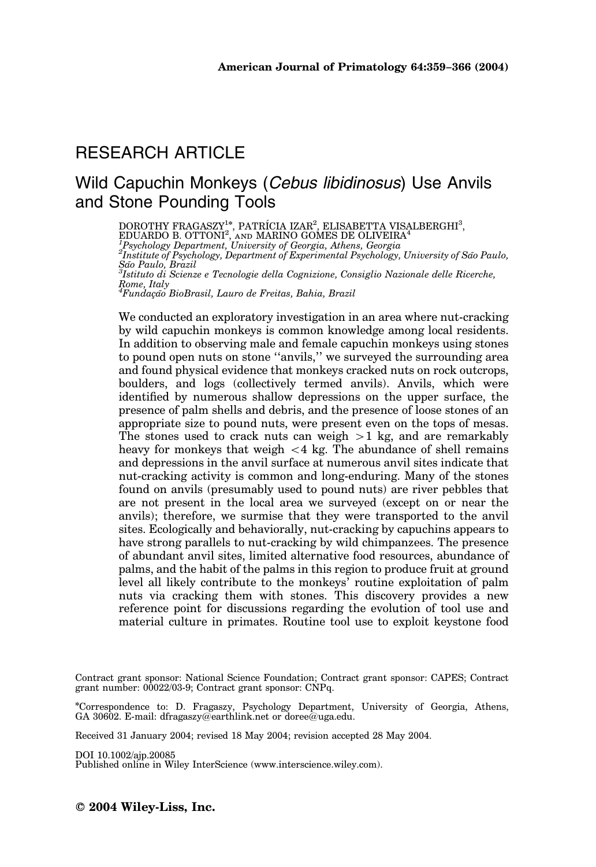# RESEARCH ARTICLE

## Wild Capuchin Monkeys (Cebus libidinosus) Use Anvils and Stone Pounding Tools

DOROTHY FRAGASZY<sup>1\*</sup>, PATRÍCIA IZAR<sup>2</sup>, ELISABETTA VISALBERGHI<sup>3</sup>,<br>EDUARDO B. OTTONI<sup>2</sup>, and MARINO GOMES DE OLIVEIRA<sup>4</sup><br><sup>1</sup> Psychology Department, University of Georgia, Athens, Georgia 2 Institute of Psychology, Department of Experimental Psychology, University of Sa˜o Paulo, São Paulo, Brazil<br><sup>3</sup>Istituto di Scienze e Tecnologie della Cognizione, Consiglio Nazionale delle Ricerche, Rome, Italy<br><sup>4</sup>Fundação BioBrasil, Lauro de Freitas, Bahia, Brazil

We conducted an exploratory investigation in an area where nut-cracking by wild capuchin monkeys is common knowledge among local residents. In addition to observing male and female capuchin monkeys using stones to pound open nuts on stone ''anvils,'' we surveyed the surrounding area and found physical evidence that monkeys cracked nuts on rock outcrops, boulders, and logs (collectively termed anvils). Anvils, which were identified by numerous shallow depressions on the upper surface, the presence of palm shells and debris, and the presence of loose stones of an appropriate size to pound nuts, were present even on the tops of mesas. The stones used to crack nuts can weigh  $>1$  kg, and are remarkably heavy for monkeys that weigh  $\langle 4 \text{ kg} \rangle$ . The abundance of shell remains and depressions in the anvil surface at numerous anvil sites indicate that nut-cracking activity is common and long-enduring. Many of the stones found on anvils (presumably used to pound nuts) are river pebbles that are not present in the local area we surveyed (except on or near the anvils); therefore, we surmise that they were transported to the anvil sites. Ecologically and behaviorally, nut-cracking by capuchins appears to have strong parallels to nut-cracking by wild chimpanzees. The presence of abundant anvil sites, limited alternative food resources, abundance of palms, and the habit of the palms in this region to produce fruit at ground level all likely contribute to the monkeys' routine exploitation of palm nuts via cracking them with stones. This discovery provides a new reference point for discussions regarding the evolution of tool use and material culture in primates. Routine tool use to exploit keystone food

Received 31 January 2004; revised 18 May 2004; revision accepted 28 May 2004.

DOI 10.1002/ajp.20085

Published online in Wiley InterScience (www.interscience.wiley.com).

Contract grant sponsor: National Science Foundation; Contract grant sponsor: CAPES; Contract grant number: 00022/03-9; Contract grant sponsor: CNPq.

n Correspondence to: D. Fragaszy, Psychology Department, University of Georgia, Athens, GA 30602. E-mail: dfragaszy@earthlink.net or doree@uga.edu.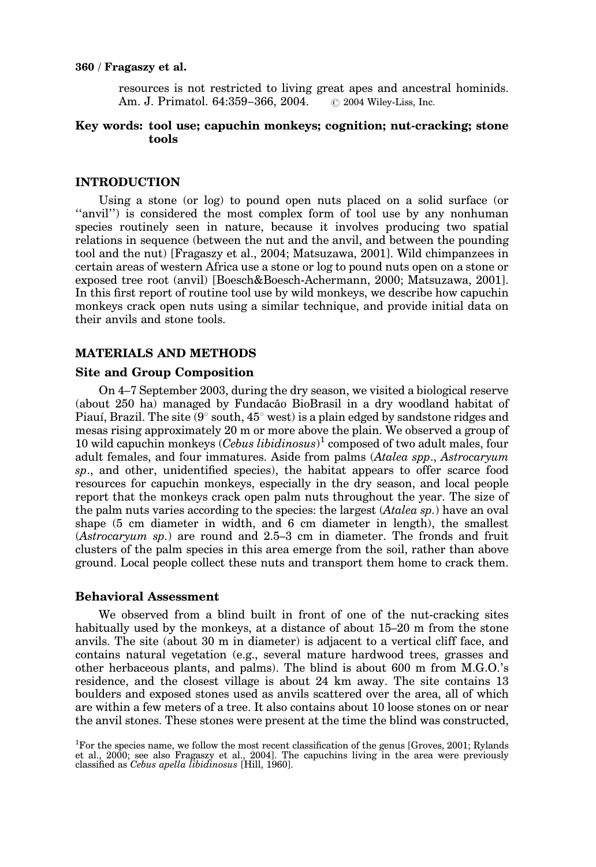#### 360 / Fragaszy et al.

resources is not restricted to living great apes and ancestral hominids. Am. J. Primatol. 64:359-366, 2004. © 2004 Wiley-Liss, Inc.

## Key words: tool use; capuchin monkeys; cognition; nut-cracking; stone tools

#### INTRODUCTION

Using a stone (or log) to pound open nuts placed on a solid surface (or "anvil") is considered the most complex form of tool use by any nonhuman species routinely seen in nature, because it involves producing two spatial relations in sequence (between the nut and the anvil, and between the pounding tool and the nut) [Fragaszy et al., 2004; Matsuzawa, 2001]. Wild chimpanzees in certain areas of western Africa use a stone or log to pound nuts open on a stone or exposed tree root (anvil) [Boesch&Boesch-Achermann, 2000; Matsuzawa, 2001]. In this first report of routine tool use by wild monkeys, we describe how capuchin monkeys crack open nuts using a similar technique, and provide initial data on their anvils and stone tools.

## MATERIALS AND METHODS

#### Site and Group Composition

On 4–7 September 2003, during the dry season, we visited a biological reserve (about 250 ha) managed by Fundacão BioBrasil in a dry woodland habitat of Piaui, Brazil. The site  $(9^{\circ}$  south,  $45^{\circ}$  west) is a plain edged by sandstone ridges and mesas rising approximately 20 m or more above the plain. We observed a group of 10 wild capuchin monkeys  $(Cebus libidinosus)^1$  composed of two adult males, four adult females, and four immatures. Aside from palms (Atalea spp., Astrocaryum sp., and other, unidentified species), the habitat appears to offer scarce food resources for capuchin monkeys, especially in the dry season, and local people report that the monkeys crack open palm nuts throughout the year. The size of the palm nuts varies according to the species: the largest (Atalea sp.) have an oval shape (5 cm diameter in width, and 6 cm diameter in length), the smallest (Astrocaryum sp.) are round and 2.5–3 cm in diameter. The fronds and fruit clusters of the palm species in this area emerge from the soil, rather than above ground. Local people collect these nuts and transport them home to crack them.

## Behavioral Assessment

We observed from a blind built in front of one of the nut-cracking sites habitually used by the monkeys, at a distance of about 15–20 m from the stone anvils. The site (about 30 m in diameter) is adjacent to a vertical cliff face, and contains natural vegetation (e.g., several mature hardwood trees, grasses and other herbaceous plants, and palms). The blind is about 600 m from M.G.O.'s residence, and the closest village is about 24 km away. The site contains 13 boulders and exposed stones used as anvils scattered over the area, all of which are within a few meters of a tree. It also contains about 10 loose stones on or near the anvil stones. These stones were present at the time the blind was constructed,

<sup>&</sup>lt;sup>1</sup>For the species name, we follow the most recent classification of the genus [Groves, 2001; Rylands et al., 2000; see also Fragaszy et al., 2004]. The capuchins living in the area were previously classified as Cebus apella libidinosus [Hill, 1960].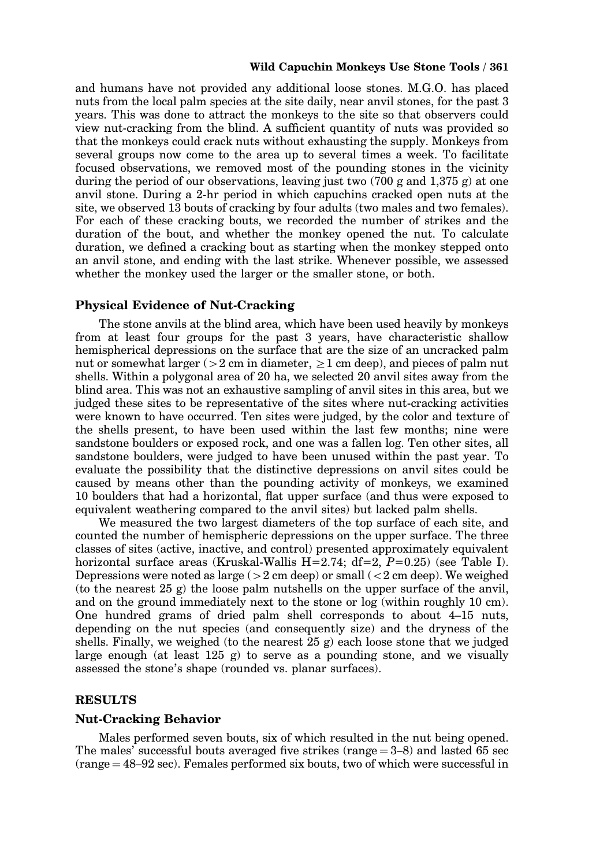## Wild Capuchin Monkeys Use Stone Tools / 361

and humans have not provided any additional loose stones. M.G.O. has placed nuts from the local palm species at the site daily, near anvil stones, for the past 3 years. This was done to attract the monkeys to the site so that observers could view nut-cracking from the blind. A sufficient quantity of nuts was provided so that the monkeys could crack nuts without exhausting the supply. Monkeys from several groups now come to the area up to several times a week. To facilitate focused observations, we removed most of the pounding stones in the vicinity during the period of our observations, leaving just two  $(700 \text{ g and } 1,375 \text{ g})$  at one anvil stone. During a 2-hr period in which capuchins cracked open nuts at the site, we observed 13 bouts of cracking by four adults (two males and two females). For each of these cracking bouts, we recorded the number of strikes and the duration of the bout, and whether the monkey opened the nut. To calculate duration, we defined a cracking bout as starting when the monkey stepped onto an anvil stone, and ending with the last strike. Whenever possible, we assessed whether the monkey used the larger or the smaller stone, or both.

## Physical Evidence of Nut-Cracking

The stone anvils at the blind area, which have been used heavily by monkeys from at least four groups for the past 3 years, have characteristic shallow hemispherical depressions on the surface that are the size of an uncracked palm nut or somewhat larger ( $>2$  cm in diameter,  $\geq 1$  cm deep), and pieces of palm nut shells. Within a polygonal area of 20 ha, we selected 20 anvil sites away from the blind area. This was not an exhaustive sampling of anvil sites in this area, but we judged these sites to be representative of the sites where nut-cracking activities were known to have occurred. Ten sites were judged, by the color and texture of the shells present, to have been used within the last few months; nine were sandstone boulders or exposed rock, and one was a fallen log. Ten other sites, all sandstone boulders, were judged to have been unused within the past year. To evaluate the possibility that the distinctive depressions on anvil sites could be caused by means other than the pounding activity of monkeys, we examined 10 boulders that had a horizontal, flat upper surface (and thus were exposed to equivalent weathering compared to the anvil sites) but lacked palm shells.

We measured the two largest diameters of the top surface of each site, and counted the number of hemispheric depressions on the upper surface. The three classes of sites (active, inactive, and control) presented approximately equivalent horizontal surface areas (Kruskal-Wallis H=2.74; df=2,  $P=0.25$ ) (see Table I). Depressions were noted as large  $(22 \text{ cm deep})$  or small  $(22 \text{ cm deep})$ . We weighed (to the nearest  $25 \text{ g}$ ) the loose palm nutshells on the upper surface of the anvil, and on the ground immediately next to the stone or log (within roughly 10 cm). One hundred grams of dried palm shell corresponds to about 4–15 nuts, depending on the nut species (and consequently size) and the dryness of the shells. Finally, we weighed (to the nearest  $25 \text{ g}$ ) each loose stone that we judged large enough (at least  $125 \text{ g}$ ) to serve as a pounding stone, and we visually assessed the stone's shape (rounded vs. planar surfaces).

#### RESULTS

#### Nut-Cracking Behavior

Males performed seven bouts, six of which resulted in the nut being opened. The males' successful bouts averaged five strikes (range  $=$  3–8) and lasted 65 sec  $(range = 48-92 \text{ sec})$ . Females performed six bouts, two of which were successful in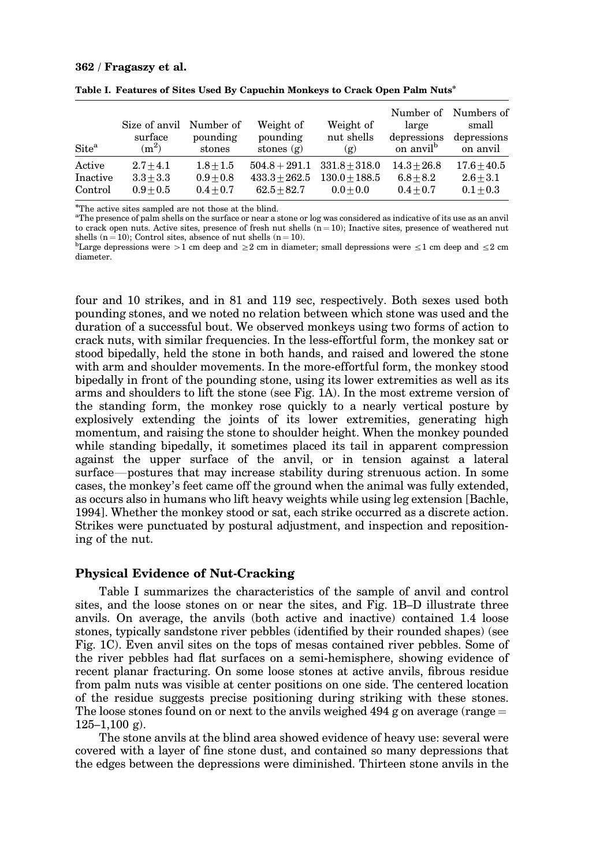| Site <sup>a</sup> | Size of anvil Number of<br>surface<br>$(m^2)$ | pounding<br>stones | Weight of<br>pounding<br>stones $(g)$ | Weight of<br>nut shells<br>(g) | Number of<br>large<br>depressions<br>on anvil <sup>b</sup> | Numbers of<br>small<br>depressions<br>on anvil |
|-------------------|-----------------------------------------------|--------------------|---------------------------------------|--------------------------------|------------------------------------------------------------|------------------------------------------------|
| Active            | $2.7 + 4.1$                                   | $1.8 + 1.5$        | $504.8 + 291.1$                       | $331.8 + 318.0$                | $14.3 + 26.8$                                              | $17.6 + 40.5$                                  |
| Inactive          | $3.3 + 3.3$                                   | $0.9 + 0.8$        | $433.3 + 262.5$                       | $130.0 + 188.5$                | $6.8 + 8.2$                                                | $2.6 + 3.1$                                    |
| Control           | $0.9 + 0.5$                                   | $0.4 + 0.7$        | $62.5 + 82.7$                         | $0.0 + 0.0$                    | $0.4 + 0.7$                                                | $0.1 + 0.3$                                    |

Table I. Features of Sites Used By Capuchin Monkeys to Crack Open Palm Nuts\*

n The active sites sampled are not those at the blind.

<sup>a</sup>The presence of palm shells on the surface or near a stone or log was considered as indicative of its use as an anvil to crack open nuts. Active sites, presence of fresh nut shells  $(n = 10)$ ; Inactive sites, presence of weathered nut shells  $(n = 10)$ ; Control sites, absence of nut shells  $(n = 10)$ .

Large depressions were  $>1$  cm deep and  $\geq$  2 cm in diameter; small depressions were  $\leq$  1 cm deep and  $\leq$  2 cm diameter.

four and 10 strikes, and in 81 and 119 sec, respectively. Both sexes used both pounding stones, and we noted no relation between which stone was used and the duration of a successful bout. We observed monkeys using two forms of action to crack nuts, with similar frequencies. In the less-effortful form, the monkey sat or stood bipedally, held the stone in both hands, and raised and lowered the stone with arm and shoulder movements. In the more-effortful form, the monkey stood bipedally in front of the pounding stone, using its lower extremities as well as its arms and shoulders to lift the stone (see Fig. 1A). In the most extreme version of the standing form, the monkey rose quickly to a nearly vertical posture by explosively extending the joints of its lower extremities, generating high momentum, and raising the stone to shoulder height. When the monkey pounded while standing bipedally, it sometimes placed its tail in apparent compression against the upper surface of the anvil, or in tension against a lateral surface—postures that may increase stability during strenuous action. In some cases, the monkey's feet came off the ground when the animal was fully extended, as occurs also in humans who lift heavy weights while using leg extension [Bachle, 1994]. Whether the monkey stood or sat, each strike occurred as a discrete action. Strikes were punctuated by postural adjustment, and inspection and repositioning of the nut.

## Physical Evidence of Nut-Cracking

Table I summarizes the characteristics of the sample of anvil and control sites, and the loose stones on or near the sites, and Fig. 1B–D illustrate three anvils. On average, the anvils (both active and inactive) contained 1.4 loose stones, typically sandstone river pebbles (identified by their rounded shapes) (see Fig. 1C). Even anvil sites on the tops of mesas contained river pebbles. Some of the river pebbles had flat surfaces on a semi-hemisphere, showing evidence of recent planar fracturing. On some loose stones at active anvils, fibrous residue from palm nuts was visible at center positions on one side. The centered location of the residue suggests precise positioning during striking with these stones. The loose stones found on or next to the anvils weighed 494 g on average (range  $=$  $125 - 1,100 \text{ g}$ ).

The stone anvils at the blind area showed evidence of heavy use: several were covered with a layer of fine stone dust, and contained so many depressions that the edges between the depressions were diminished. Thirteen stone anvils in the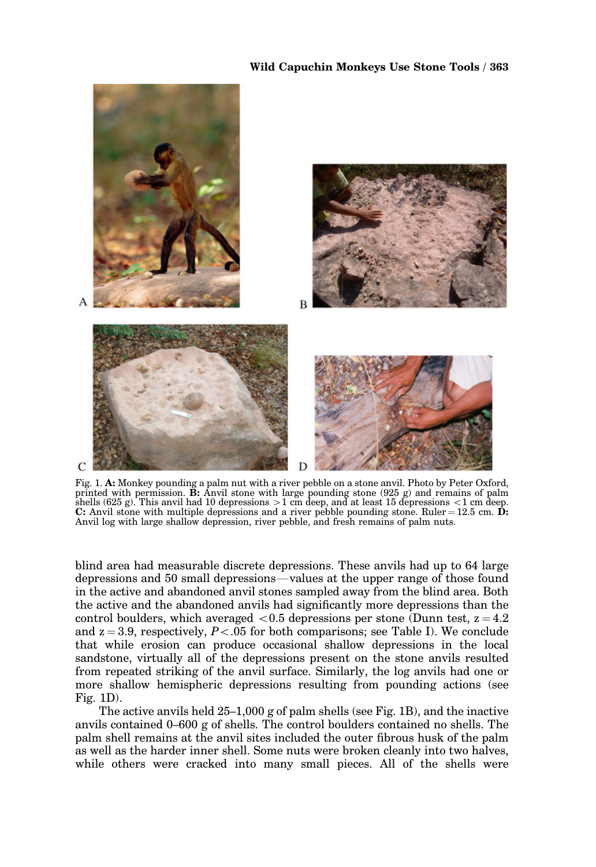

Fig. 1. A: Monkey pounding a palm nut with a river pebble on a stone anvil. Photo by Peter Oxford, printed with permission. **B:** Anvil stone with large pounding stone (925 g) and remains of palm<br>shells (625 g). This anvil had 10 depressions > 1 cm deep, and at least 15 depressions < 1 cm deep.<br>**C:** Anvil stone with mult Anvil log with large shallow depression, river pebble, and fresh remains of palm nuts.

blind area had measurable discrete depressions. These anvils had up to 64 large depressions and 50 small depressions—values at the upper range of those found in the active and abandoned anvil stones sampled away from the blind area. Both the active and the abandoned anvils had significantly more depressions than the control boulders, which averaged  $\langle 0.5$  depressions per stone (Dunn test,  $z = 4.2$ ) and  $z = 3.9$ , respectively,  $P < .05$  for both comparisons; see Table I). We conclude that while erosion can produce occasional shallow depressions in the local sandstone, virtually all of the depressions present on the stone anvils resulted from repeated striking of the anvil surface. Similarly, the log anvils had one or more shallow hemispheric depressions resulting from pounding actions (see Fig. 1D).

The active anvils held  $25-1,000$  g of palm shells (see Fig. 1B), and the inactive anvils contained 0–600 g of shells. The control boulders contained no shells. The palm shell remains at the anvil sites included the outer fibrous husk of the palm as well as the harder inner shell. Some nuts were broken cleanly into two halves, while others were cracked into many small pieces. All of the shells were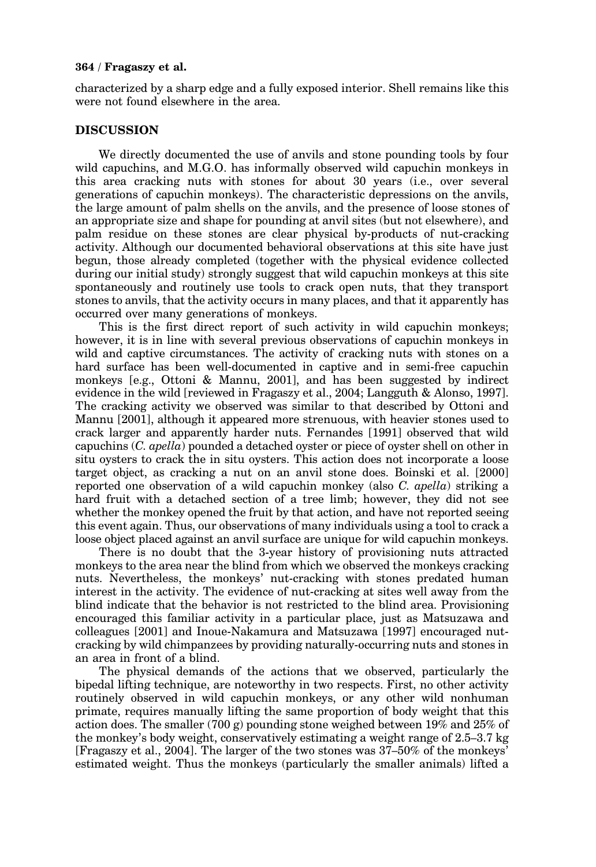#### 364 / Fragaszy et al.

characterized by a sharp edge and a fully exposed interior. Shell remains like this were not found elsewhere in the area.

## DISCUSSION

We directly documented the use of anvils and stone pounding tools by four wild capuchins, and M.G.O. has informally observed wild capuchin monkeys in this area cracking nuts with stones for about 30 years (i.e., over several generations of capuchin monkeys). The characteristic depressions on the anvils, the large amount of palm shells on the anvils, and the presence of loose stones of an appropriate size and shape for pounding at anvil sites (but not elsewhere), and palm residue on these stones are clear physical by-products of nut-cracking activity. Although our documented behavioral observations at this site have just begun, those already completed (together with the physical evidence collected during our initial study) strongly suggest that wild capuchin monkeys at this site spontaneously and routinely use tools to crack open nuts, that they transport stones to anvils, that the activity occurs in many places, and that it apparently has occurred over many generations of monkeys.

This is the first direct report of such activity in wild capuchin monkeys; however, it is in line with several previous observations of capuchin monkeys in wild and captive circumstances. The activity of cracking nuts with stones on a hard surface has been well-documented in captive and in semi-free capuchin monkeys [e.g., Ottoni & Mannu, 2001], and has been suggested by indirect evidence in the wild [reviewed in Fragaszy et al., 2004; Langguth & Alonso, 1997]. The cracking activity we observed was similar to that described by Ottoni and Mannu [2001], although it appeared more strenuous, with heavier stones used to crack larger and apparently harder nuts. Fernandes [1991] observed that wild capuchins (C. apella) pounded a detached oyster or piece of oyster shell on other in situ oysters to crack the in situ oysters. This action does not incorporate a loose target object, as cracking a nut on an anvil stone does. Boinski et al. [2000] reported one observation of a wild capuchin monkey (also C. apella) striking a hard fruit with a detached section of a tree limb; however, they did not see whether the monkey opened the fruit by that action, and have not reported seeing this event again. Thus, our observations of many individuals using a tool to crack a loose object placed against an anvil surface are unique for wild capuchin monkeys.

There is no doubt that the 3-year history of provisioning nuts attracted monkeys to the area near the blind from which we observed the monkeys cracking nuts. Nevertheless, the monkeys' nut-cracking with stones predated human interest in the activity. The evidence of nut-cracking at sites well away from the blind indicate that the behavior is not restricted to the blind area. Provisioning encouraged this familiar activity in a particular place, just as Matsuzawa and colleagues [2001] and Inoue-Nakamura and Matsuzawa [1997] encouraged nutcracking by wild chimpanzees by providing naturally-occurring nuts and stones in an area in front of a blind.

The physical demands of the actions that we observed, particularly the bipedal lifting technique, are noteworthy in two respects. First, no other activity routinely observed in wild capuchin monkeys, or any other wild nonhuman primate, requires manually lifting the same proportion of body weight that this action does. The smaller (700 g) pounding stone weighed between 19% and 25% of the monkey's body weight, conservatively estimating a weight range of 2.5–3.7 kg [Fragaszy et al., 2004]. The larger of the two stones was 37–50% of the monkeys' estimated weight. Thus the monkeys (particularly the smaller animals) lifted a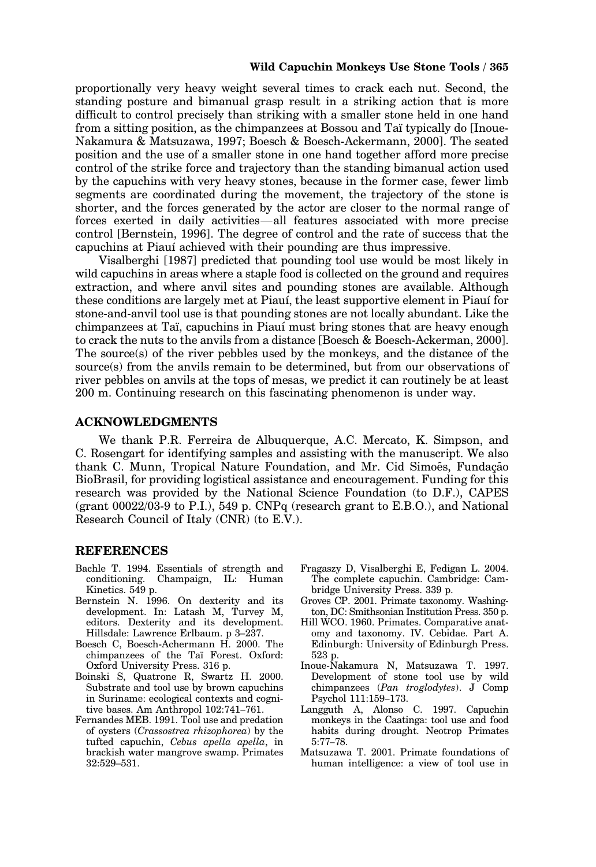#### Wild Capuchin Monkeys Use Stone Tools / 365

proportionally very heavy weight several times to crack each nut. Second, the standing posture and bimanual grasp result in a striking action that is more difficult to control precisely than striking with a smaller stone held in one hand from a sitting position, as the chimpanzees at Bossou and Taï typically do [Inoue-Nakamura & Matsuzawa, 1997; Boesch & Boesch-Ackermann, 2000]. The seated position and the use of a smaller stone in one hand together afford more precise control of the strike force and trajectory than the standing bimanual action used by the capuchins with very heavy stones, because in the former case, fewer limb segments are coordinated during the movement, the trajectory of the stone is shorter, and the forces generated by the actor are closer to the normal range of forces exerted in daily activities—all features associated with more precise control [Bernstein, 1996]. The degree of control and the rate of success that the capuchins at Piauı´ achieved with their pounding are thus impressive.

Visalberghi [1987] predicted that pounding tool use would be most likely in wild capuchins in areas where a staple food is collected on the ground and requires extraction, and where anvil sites and pounding stones are available. Although these conditions are largely met at Piauı´, the least supportive element in Piauı´ for stone-and-anvil tool use is that pounding stones are not locally abundant. Like the chimpanzees at Tai, capuchins in Piauí must bring stones that are heavy enough to crack the nuts to the anvils from a distance [Boesch & Boesch-Ackerman, 2000]. The source $(s)$  of the river pebbles used by the monkeys, and the distance of the source(s) from the anvils remain to be determined, but from our observations of river pebbles on anvils at the tops of mesas, we predict it can routinely be at least 200 m. Continuing research on this fascinating phenomenon is under way.

#### ACKNOWLEDGMENTS

We thank P.R. Ferreira de Albuquerque, A.C. Mercato, K. Simpson, and C. Rosengart for identifying samples and assisting with the manuscript. We also thank C. Munn, Tropical Nature Foundation, and Mr. Cid Simoes, Fundacao BioBrasil, for providing logistical assistance and encouragement. Funding for this research was provided by the National Science Foundation (to D.F.), CAPES (grant 00022/03-9 to P.I.), 549 p. CNPq (research grant to E.B.O.), and National Research Council of Italy (CNR) (to E.V.).

#### REFERENCES

- Bachle T. 1994. Essentials of strength and conditioning. Champaign, IL: Human Kinetics. 549 p.
- Bernstein N. 1996. On dexterity and its development. In: Latash M, Turvey M, editors. Dexterity and its development. Hillsdale: Lawrence Erlbaum. p 3–237.
- Boesch C, Boesch-Achermann H. 2000. The chimpanzees of the Taı¨ Forest. Oxford: Oxford University Press. 316 p.
- Boinski S, Quatrone R, Swartz H. 2000. Substrate and tool use by brown capuchins in Suriname: ecological contexts and cognitive bases. Am Anthropol 102:741–761.
- Fernandes MEB. 1991. Tool use and predation of oysters (Crassostrea rhizophorea) by the tufted capuchin, Cebus apella apella, in brackish water mangrove swamp. Primates 32:529–531.
- Fragaszy D, Visalberghi E, Fedigan L. 2004. The complete capuchin. Cambridge: Cambridge University Press. 339 p.
- Groves CP. 2001. Primate taxonomy. Washington, DC: Smithsonian Institution Press. 350 p.
- Hill WCO. 1960. Primates. Comparative anatomy and taxonomy. IV. Cebidae. Part A. Edinburgh: University of Edinburgh Press. 523 p.
- Inoue-Nakamura N, Matsuzawa T. 1997. Development of stone tool use by wild chimpanzees (Pan troglodytes). J Comp Psychol 111:159–173.
- Langguth A, Alonso C. 1997. Capuchin monkeys in the Caatinga: tool use and food habits during drought. Neotrop Primates 5:77–78.
- Matsuzawa T. 2001. Primate foundations of human intelligence: a view of tool use in